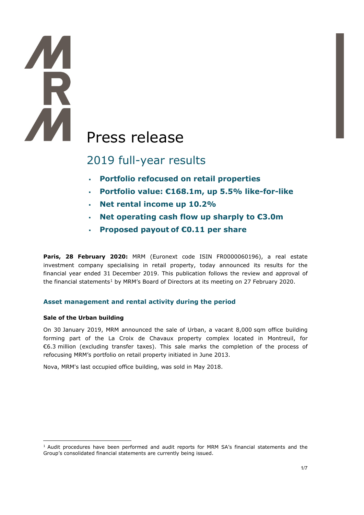# K **AM** Press release

# 2019 full-year results

- **Portfolio refocused on retail properties**
- **Portfolio value: €168.1m, up 5.5% like-for-like**
- **Net rental income up 10.2%**
- **Net operating cash flow up sharply to €3.0m**
- **Proposed payout of €0.11 per share**

**Paris, 28 February 2020:** MRM (Euronext code ISIN FR0000060196), a real estate investment company specialising in retail property, today announced its results for the financial year ended 31 December 2019. This publication follows the review and approval of the financial statements<sup>1</sup> by MRM's Board of Directors at its meeting on 27 February 2020.

# **Asset management and rental activity during the period**

#### **Sale of the Urban building**

On 30 January 2019, MRM announced the sale of Urban, a vacant 8,000 sqm office building forming part of the La Croix de Chavaux property complex located in Montreuil, for €6.3 million (excluding transfer taxes). This sale marks the completion of the process of refocusing MRM's portfolio on retail property initiated in June 2013.

Nova, MRM's last occupied office building, was sold in May 2018.

<span id="page-0-0"></span><sup>&</sup>lt;sup>1</sup> Audit procedures have been performed and audit reports for MRM SA's financial statements and the Group's consolidated financial statements are currently being issued.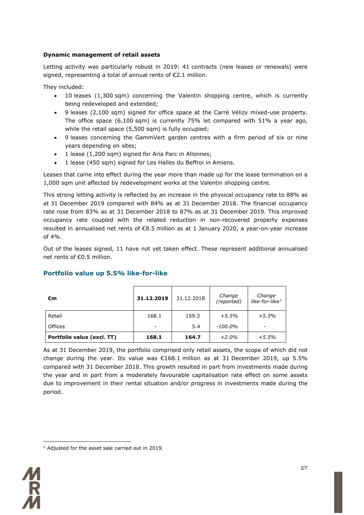#### **Dynamic management of retail assets**

Letting activity was particularly robust in 2019: 41 contracts (new leases or renewals) were signed, representing a total of annual rents of €2.1 million.

They included:

- 10 leases (1,300 sqm) concerning the Valentin shopping centre, which is currently being redeveloped and extended;
- 9 leases (2,100 sqm) signed for office space at the Carré Vélizy mixed-use property. The office space (6,100 sqm) is currently 75% let compared with 51% a year ago, while the retail space (5,500 sqm) is fully occupied;
- 9 leases concerning the GammVert garden centres with a firm period of six or nine years depending on sites;
- 1 lease (1,200 sqm) signed for Aria Parc in Allonnes;
- 1 lease (450 sqm) signed for Les Halles du Beffroi in Amiens.

Leases that came into effect during the year more than made up for the lease termination on a 1,000 sqm unit affected by redevelopment works at the Valentin shopping centre.

This strong letting activity is reflected by an increase in the physical occupancy rate to 88% as at 31 December 2019 compared with 84% as at 31 December 2018. The financial occupancy rate rose from 83% as at 31 December 2018 to 87% as at 31 December 2019. This improved occupancy rate coupled with the related reduction in non-recovered property expenses resulted in annualised net rents of €8.5 million as at 1 January 2020, a year-on-year increase of 4%.

Out of the leases signed, 11 have not yet taken effect. These represent additional annualised net rents of €0.5 million.

| €m                         | 31.12.2019               | 31.12.2018 | Change<br>(reported) | Change<br>like-for-like <sup>2</sup> |
|----------------------------|--------------------------|------------|----------------------|--------------------------------------|
| Retail                     | 168.1                    | 159.3      | $+5.5%$              | $+5.5%$                              |
| Offices                    | $\overline{\phantom{0}}$ | 5.4        | -100.0%              | -                                    |
| Portfolio value (excl. TT) | 168.1                    | 164.7      | $+2.0%$              | $+5.5%$                              |

# **Portfolio value up 5.5% like-for-like**

As at 31 December 2019, the portfolio comprised only retail assets, the scope of which did not change during the year. Its value was  $\epsilon$ 168.1 million as at 31 December 2019, up 5.5% compared with 31 December 2018. This growth resulted in part from investments made during the year and in part from a moderately favourable capitalisation rate effect on some assets due to improvement in their rental situation and/or progress in investments made during the period.

<span id="page-1-0"></span><sup>&</sup>lt;sup>2</sup> Adjusted for the asset sale carried out in 2019.

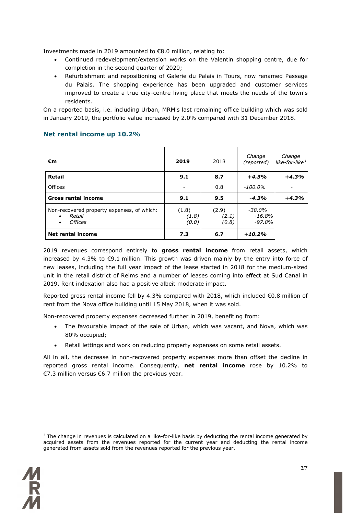Investments made in 2019 amounted to €8.0 million, relating to:

- Continued redevelopment/extension works on the Valentin shopping centre, due for completion in the second quarter of 2020;
- Refurbishment and repositioning of Galerie du Palais in Tours, now renamed Passage du Palais. The shopping experience has been upgraded and customer services improved to create a true city-centre living place that meets the needs of the town's residents.

On a reported basis, i.e. including Urban, MRM's last remaining office building which was sold in January 2019, the portfolio value increased by 2.0% compared with 31 December 2018.

| €m                                                                                               | 2019                    | 2018                    | Change<br>(reported)            | Change<br>like-for-like <sup>3</sup> |
|--------------------------------------------------------------------------------------------------|-------------------------|-------------------------|---------------------------------|--------------------------------------|
| Retail                                                                                           | 9.1                     | 8.7                     | $+4.3%$                         | $+4.3%$                              |
| Offices                                                                                          |                         | 0.8                     | -100.0%                         |                                      |
| <b>Gross rental income</b>                                                                       | 9.1                     | 9.5                     | $-4.3%$                         | $+4.3%$                              |
| Non-recovered property expenses, of which:<br>Retail<br>$\bullet$<br><b>Offices</b><br>$\bullet$ | (1.8)<br>(1.8)<br>(0.0) | (2.9)<br>(2.1)<br>(0.8) | -38.0%<br>$-16.8\%$<br>$-97.8%$ |                                      |
| <b>Net rental income</b>                                                                         | 7.3                     | 6.7                     | $+10.2%$                        |                                      |

# **Net rental income up 10.2%**

2019 revenues correspond entirely to **gross rental income** from retail assets, which increased by 4.3% to €9.1 million. This growth was driven mainly by the entry into force of new leases, including the full year impact of the lease started in 2018 for the medium-sized unit in the retail district of Reims and a number of leases coming into effect at Sud Canal in 2019. Rent indexation also had a positive albeit moderate impact.

Reported gross rental income fell by 4.3% compared with 2018, which included €0.8 million of rent from the Nova office building until 15 May 2018, when it was sold.

Non-recovered property expenses decreased further in 2019, benefiting from:

- The favourable impact of the sale of Urban, which was vacant, and Nova, which was 80% occupied;
- Retail lettings and work on reducing property expenses on some retail assets.

All in all, the decrease in non-recovered property expenses more than offset the decline in reported gross rental income. Consequently, **net rental income** rose by 10.2% to €7.3 million versus €6.7 million the previous year.

<span id="page-2-0"></span> $3$  The change in revenues is calculated on a like-for-like basis by deducting the rental income generated by acquired assets from the revenues reported for the current year and deducting the rental income generated from assets sold from the revenues reported for the previous year.

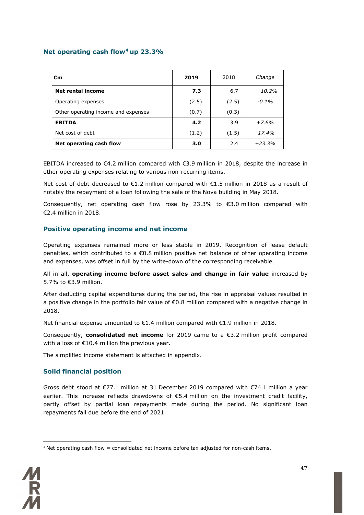#### **Net operating cash flow[4](#page-3-0) up 23.3%**

| €m                                  | 2019  | 2018  | Change   |
|-------------------------------------|-------|-------|----------|
| <b>Net rental income</b>            | 7.3   | 6.7   | $+10.2%$ |
| Operating expenses                  | (2.5) | (2.5) | $-0.1%$  |
| Other operating income and expenses | (0.7) | (0.3) |          |
| <b>EBITDA</b>                       | 4.2   | 3.9   | $+7.6%$  |
| Net cost of debt                    | (1.2) | (1.5) | $-17.4%$ |
| Net operating cash flow             | 3.0   | 2.4   | $+23.3%$ |

EBITDA increased to €4.2 million compared with €3.9 million in 2018, despite the increase in other operating expenses relating to various non-recurring items.

Net cost of debt decreased to €1.2 million compared with €1.5 million in 2018 as a result of notably the repayment of a loan following the sale of the Nova building in May 2018.

Consequently, net operating cash flow rose by 23.3% to  $\epsilon$ 3.0 million compared with €2.4 million in 2018.

#### **Positive operating income and net income**

Operating expenses remained more or less stable in 2019. Recognition of lease default penalties, which contributed to a €0.8 million positive net balance of other operating income and expenses, was offset in full by the write-down of the corresponding receivable.

All in all, **operating income before asset sales and change in fair value** increased by 5.7% to €3.9 million.

After deducting capital expenditures during the period, the rise in appraisal values resulted in a positive change in the portfolio fair value of €0.8 million compared with a negative change in 2018.

Net financial expense amounted to €1.4 million compared with €1.9 million in 2018.

Consequently, **consolidated net income** for 2019 came to a €3.2 million profit compared with a loss of €10.4 million the previous year.

The simplified income statement is attached in appendix.

#### **Solid financial position**

Gross debt stood at €77.1 million at 31 December 2019 compared with €74.1 million a year earlier. This increase reflects drawdowns of €5.4 million on the investment credit facility, partly offset by partial loan repayments made during the period. No significant loan repayments fall due before the end of 2021.

<span id="page-3-0"></span> $4$  Net operating cash flow = consolidated net income before tax adjusted for non-cash items.

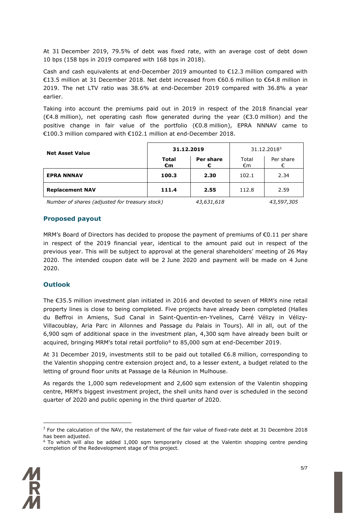At 31 December 2019, 79.5% of debt was fixed rate, with an average cost of debt down 10 bps (158 bps in 2019 compared with 168 bps in 2018).

Cash and cash equivalents at end-December 2019 amounted to  $E$ 12.3 million compared with €13.5 million at 31 December 2018. Net debt increased from €60.6 million to €64.8 million in 2019. The net LTV ratio was 38.6% at end-December 2019 compared with 36.8% a year earlier.

Taking into account the premiums paid out in 2019 in respect of the 2018 financial year (€4.8 million), net operating cash flow generated during the year (€3.0 million) and the positive change in fair value of the portfolio (€0.8 million), EPRA NNNAV came to €100.3 million compared with €102.1 million at end-December 2018.

| <b>Net Asset Value</b> | 31.12.2019                   |                                           | 31.12.2018 <sup>5</sup> |                                           |
|------------------------|------------------------------|-------------------------------------------|-------------------------|-------------------------------------------|
|                        | <b>Total</b><br>$\epsilon$ m | Per share                                 | Total<br>€m             | Per share                                 |
| <b>EPRA NNNAV</b>      | 100.3                        | 2.30                                      | 102.1                   | 2.34                                      |
| <b>Replacement NAV</b> | 111.4                        | 2.55                                      | 112.8                   | 2.59                                      |
|                        |                              | $\sim$ $\sim$ $\sim$ $\sim$ $\sim$ $\sim$ |                         | $\sim$ $\sim$ $\sim$ $\sim$ $\sim$ $\sim$ |

*Number of shares (adjusted for treasury stock) 43,631,618 43,597,305*

#### **Proposed payout**

MRM's Board of Directors has decided to propose the payment of premiums of  $\epsilon$ 0.11 per share in respect of the 2019 financial year, identical to the amount paid out in respect of the previous year. This will be subject to approval at the general shareholders' meeting of 26 May 2020. The intended coupon date will be 2 June 2020 and payment will be made on 4 June 2020.

# **Outlook**

The €35.5 million investment plan initiated in 2016 and devoted to seven of MRM's nine retail property lines is close to being completed. Five projects have already been completed (Halles du Beffroi in Amiens, Sud Canal in Saint-Quentin-en-Yvelines, Carré Vélizy in Vélizy-Villacoublay, Aria Parc in Allonnes and Passage du Palais in Tours). All in all, out of the 6,900 sqm of additional space in the investment plan, 4,300 sqm have already been built or acquired, bringing MRM's total retail portfolio<sup>[6](#page-4-1)</sup> to 85,000 sqm at end-December 2019.

At 31 December 2019, investments still to be paid out totalled €6.8 million, corresponding to the Valentin shopping centre extension project and, to a lesser extent, a budget related to the letting of ground floor units at Passage de la Réunion in Mulhouse.

As regards the 1,000 sqm redevelopment and 2,600 sqm extension of the Valentin shopping centre, MRM's biggest investment project, the shell units hand over is scheduled in the second quarter of 2020 and public opening in the third quarter of 2020.

<span id="page-4-1"></span><span id="page-4-0"></span><sup>&</sup>lt;sup>6</sup> To which will also be added 1,000 sqm temporarily closed at the Valentin shopping centre pending completion of the Redevelopment stage of this project.



 $<sup>5</sup>$  For the calculation of the NAV, the restatement of the fair value of fixed-rate debt at 31 Decembre 2018</sup> has been adjusted.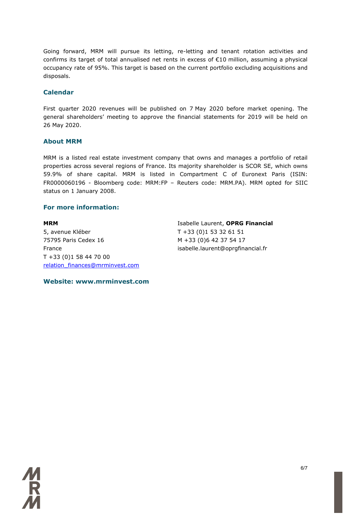Going forward, MRM will pursue its letting, re-letting and tenant rotation activities and confirms its target of total annualised net rents in excess of €10 million, assuming a physical occupancy rate of 95%. This target is based on the current portfolio excluding acquisitions and disposals.

#### **Calendar**

First quarter 2020 revenues will be published on 7 May 2020 before market opening. The general shareholders' meeting to approve the financial statements for 2019 will be held on 26 May 2020.

#### **About MRM**

MRM is a listed real estate investment company that owns and manages a portfolio of retail properties across several regions of France. Its majority shareholder is SCOR SE, which owns 59.9% of share capital. MRM is listed in Compartment C of Euronext Paris (ISIN: FR0000060196 - Bloomberg code: MRM:FP – Reuters code: MRM.PA). MRM opted for SIIC status on 1 January 2008.

#### **For more information:**

**MRM** 5, avenue Kléber 75795 Paris Cedex 16 France T +33 (0)1 58 44 70 00 [relation\\_finances@mrminvest.com](mailto:relation_finances@mrminvest.com) Isabelle Laurent, **OPRG Financial** T +33 (0)1 53 32 61 51 M +33 (0)6 42 37 54 17 isabelle.laurent@oprgfinancial.fr

**Website: www.mrminvest.com**